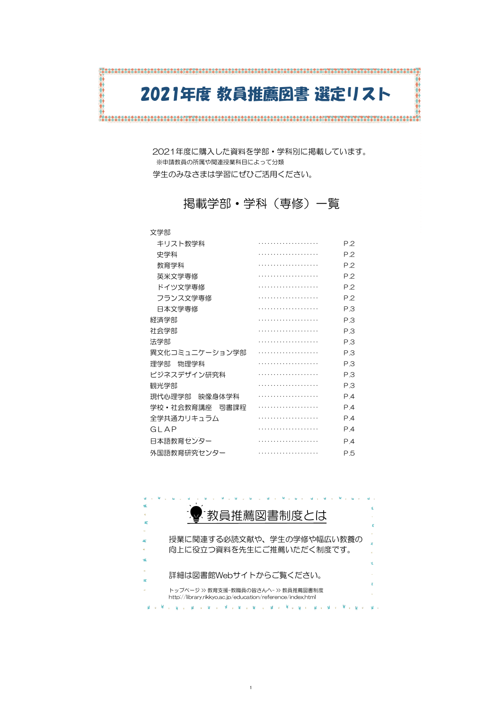#### 文学部

| 圧兀ノ い <del>ゴー</del> ロレ |                |
|------------------------|----------------|
| 現代心理学部 映像身体学科          | P <sub>4</sub> |
| 学校•社会教育講座 司書課程         | P <sub>4</sub> |
| 全学共通力リキュラム             | P <sub>4</sub> |
| GI AP                  | P <sub>4</sub> |
| 日本語教育センター              | P <sub>4</sub> |
| 外国語教育研究センター            | P.5            |

| キリスト教学科        | P.2 |
|----------------|-----|
| 史学科            | P.2 |
| 教育学科           | P.2 |
| 英米文学専修         | P.2 |
| ドイツ文学専修        | P.2 |
| フランス文学専修       | P.2 |
| 日本文学専修         | P.3 |
| 経済学部           | P.3 |
| 社会学部           | P.3 |
| 法学部            | P.3 |
| 異文化コミュニケーション学部 | P.3 |
| 物理学科<br>理学部    | P.3 |
| ビジネスデザイン研究科    | P.3 |
| 観光学部           | P.3 |

2021年度に購入した資料を学部・学科別に掲載しています。 ※申請教員の所属や関連授業科目によって分類 学生のみなさまは学習にぜひご活用ください。

# 掲載学部・学科(専修)一覧

# 2021年度 教員推薦図書 選定リスト

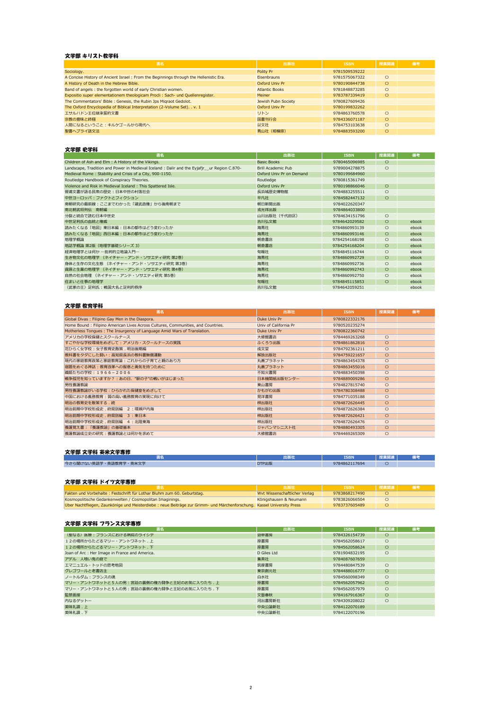# 文学部 キリスト教学科

| 書名                                                                                    | 出版社                   | <b>ISBN</b>   | 授業関連    | 備考 |
|---------------------------------------------------------------------------------------|-----------------------|---------------|---------|----|
| Sociology.                                                                            | Polity Pr             | 9781509539222 |         |    |
| A Concise History of Ancient Israel: From the Beginnings through the Hellenistic Era. | <b>Eisenbrauns</b>    | 9781575067322 | $\circ$ |    |
| A History of Death in the Hebrew Bible.                                               | Oxford Univ Pr        | 9780190844738 | $\circ$ |    |
| Band of angels: the forgotten world of early Christian women.                         | <b>Atlantic Books</b> | 9781848873285 | $\circ$ |    |
| Expositio super elementationem theologicam Procli: Sach- und Quellenregister.         | <b>Meiner</b>         | 9783787339419 | $\circ$ |    |
| The Commentators' Bible: Genesis, the Rubin Jps Migraot Gedolot.                      | Jewish Pubn Society   | 9780827609426 |         |    |
| The Oxford Encyclopedia of Biblical Interpretation (2-Volume Set). . v. 1             | Oxford Univ Pr        | 9780199832262 |         |    |
| エサルハドン王位継承誓約文書                                                                        | リトン                   | 9784863760578 | $\circ$ |    |
| 宗教の意味と終極                                                                              | 国書刊行会                 | 9784336071187 | $\circ$ |    |
| 人間になるということ : キルケゴールから現代へ                                                              | 以文社                   | 9784753103638 | $\circ$ |    |
| 聖書ヘブライ語文法                                                                             | 青山社(相模原)              | 9784883593200 | $\circ$ |    |

# 文学部 史学科

| 書名                                                                                          | 出版社                      | <b>ISBN</b>   | 授業関連    | 備考    |
|---------------------------------------------------------------------------------------------|--------------------------|---------------|---------|-------|
| Children of Ash and Elm : A History of the Vikings.                                         | <b>Basic Books</b>       | 9780465096985 | $\circ$ |       |
| Landscape, Tradition and Power in Medieval Iceland : Dalir and the Eyjafjr_ur Region C.870- | Brill Academic Pub       | 9789004278875 | $\circ$ |       |
| Medieval Rome: Stability and Crisis of a City, 900-1150.                                    | Oxford Univ Pr on Demand | 9780199684960 |         |       |
| Routledge Handbook of Conspiracy Theories.                                                  | Routledge                | 9780815361749 |         |       |
| Violence and Risk in Medieval Iceland: This Spattered Isle.                                 | Oxford Univ Pr           | 9780198866046 | $\circ$ |       |
| 菅浦文書が語る民衆の歴史:日本中世の村落社会                                                                      | 長浜城歴史博物館                 | 9784883255511 | $\circ$ |       |
| 中世ヨーロッパ:ファクトとフィクション                                                                         | 平凡社                      | 9784582447132 | $\circ$ |       |
| 南朝研究の最前線:ここまでわかった「建武政権」から後南朝まで                                                              | 朝日新聞出版                   | 9784022620347 |         |       |
| 南北朝武将列伝 南朝編                                                                                 | 戎光祥出版                    | 9784864033800 |         |       |
| 分裂と統合で読む日本中世史                                                                               | 山川出版社 (千代田区)             | 9784634151796 | $\circ$ |       |
| 中世足利氏の血統と権威                                                                                 | 吉川弘文館                    | 9784642029582 | $\circ$ | ebook |
| 読みたくなる「地図」東日本編:日本の都市はどう変わったか                                                                | 海青社                      | 9784860993139 | $\circ$ | ebook |
| 読みたくなる「地図」西日本編:日本の都市はどう変わったか                                                                | 海青社                      | 9784860993146 | $\circ$ | ebook |
| 地理学概論                                                                                       | 朝倉書店                     | 9784254168198 | $\circ$ | ebook |
| 地誌学概論 第2版 (地理学基礎シリーズ 3)                                                                     | 朝倉書店                     | 9784254168204 | $\circ$ | ebook |
| 経済地理学とは何か ―批判的立地論入門―                                                                        | 旬報社                      | 9784845116744 | $\circ$ | ebook |
| 生き物文化の地理学 (ネイチャー・アンド・ソサエティ研究 第2巻)                                                           | 海青社                      | 9784860992729 | $\circ$ | ebook |
| 身体と生存の文化生態 (ネイチャー・アンド・ソサエティ研究 第3巻)                                                          | 海青社                      | 9784860992736 | $\circ$ | ebook |
| 資源と生業の地理学 (ネイチャー・アンド・ソサエティ研究 第4巻)                                                           | 海青社                      | 9784860992743 | $\circ$ | ebook |
| 自然の社会地理 (ネイチャー・アンド・ソサエティ研究 第5巻)                                                             | 海青社                      | 9784860992750 | $\circ$ | ebook |
| 住まいと仕事の地理学                                                                                  | 旬報社                      | 9784845115853 | O       | ebook |
| 〈武家の王〉足利氏:戦国大名と足利的秩序                                                                        | 吉川弘文館                    | 9784642059251 |         | ebook |

# 文学部 教育学科

| 書名                                                                               | 出版社                   | <b>ISBN</b>   | 授業関連    | 備考 |
|----------------------------------------------------------------------------------|-----------------------|---------------|---------|----|
| Global Divas: Filipino Gay Men in the Diaspora.                                  | Duke Univ Pr          | 9780822332176 |         |    |
| Home Bound: Filipino American Lives Across Cultures, Communities, and Countries. | Univ of California Pr | 9780520235274 |         |    |
| Motherless Tongues: The Insurgency of Language Amid Wars of Translation.         | Duke Univ Pr          | 9780822360742 |         |    |
| アメリカの学校保健とスクールナース                                                                | 大修館書店                 | 9784469263268 | $\circ$ |    |
| すこやかな学校環境をめざして : アメリカ・スクールナースの実践                                                 | ふくろう出版                | 9784861862816 | $\circ$ |    |
| 花ひらく女学校:女子教育史散策.明治後期編                                                            | 成文堂                   | 9784792361211 | $\circ$ |    |
| 教科書をタダにした闘い:高知県長浜の教科書無償運動                                                        | 解放出版社                 | 9784759221657 | $\circ$ |    |
| 現代の家庭教育政策と家庭教育論:これからの子育てと親のあり方                                                   | 丸善プラネット               | 9784863454378 | $\circ$ |    |
| 宿題をめぐる神話:教育改革への智恵と勇気を持つために                                                       | 丸善プラネット               | 9784863455016 | $\circ$ |    |
| 織姫たちの学校: 1966-2006                                                               | 不知火書房                 | 9784883450398 | $\circ$ |    |
| 戦争孤児を知っていますか?:あの日、"駅の子"の戦いがはじまった                                                 | 日本機関紙出版センター           | 9784889009286 | $\circ$ |    |
| 男性養護教諭                                                                           | 東山書房                  | 9784827815740 | $\circ$ |    |
| 男性養護教諭がいる学校:ひらかれた保健室をめざして                                                        | かもがわ出版                | 9784780308488 | $\circ$ |    |
| 中国における義務教育:質の高い義務教育の実現に向けて                                                       | 晃洋書房                  | 9784771035188 | $\circ$ |    |
| 明治の教育史を散策する . 続                                                                  | 梓出版社                  | 9784872626445 | $\circ$ |    |
| 明治前期中学校形成史.府県別編 2 : 環瀬戸内海                                                        | 梓出版社                  | 9784872626384 | $\circ$ |    |
| 明治前期中学校形成史.府県別編<br>3 : 東日本                                                       | 梓出版社                  | 9784872626421 | $\circ$ |    |
| 明治前期中学校形成史.府県別編<br>4 : 北陸東海                                                      | 梓出版社                  | 9784872626476 | $\circ$ |    |
| 養護覚え書:「養護教諭」の基礎基本                                                                | ジャパンマシニスト社            | 9784880493305 | $\circ$ |    |
| 養護教諭成立史の研究:養護教諭とは何かを求めて                                                          | 大修館書店                 | 9784469265309 | $\circ$ |    |

#### 文学部 文学科 英米文学専修

| .                                  | <b>The ALL</b><br>工办火不工 | <b>ISBN</b>   | 机压自自 计<br>詳知理 |  |
|------------------------------------|-------------------------|---------------|---------------|--|
| ・英米文学<br>今さん<br>- っ闻けない英語学・英語教育学・艹 | DTP出版                   | 9784862117694 |               |  |

#### 文学部 文学科 ドイツ文学専修

|                                                                                                                         | 、出版社                          | <b>ISBN</b>   | 「授業関連 | 「扁考 |
|-------------------------------------------------------------------------------------------------------------------------|-------------------------------|---------------|-------|-----|
| Fakten und Vorbehalte: Festschrift für Lothar Bluhm zum 60. Geburtstag.                                                 | Wyt Wissenschaftlicher Verlag | 9783868217490 |       |     |
| Kosmopolitische Gedankenwelten / Cosmopolitan Imaginings.                                                               | Königshausen & Neumann        | 9783826066504 |       |     |
| Über Nachtfliegen, Zaunkönige und Meisterdiebe : neue Beiträge zur Grimm- und Märchenforschung. Kassel University Press |                               | 9783737605489 |       |     |

# 文学部 文学科 フランス文学専修

| 書名                                             | 出版社         | <b>ISBN</b>   | 授業関連    | 備考 |
|------------------------------------------------|-------------|---------------|---------|----|
| 〈聖なる〉 医療 : フランスにおける病院のライシテ                     | 勁草書房        | 9784326154739 | $\circ$ |    |
| 12の場所からたどるマリー・アントワネット.上                        | 原書房         | 9784562058617 | $\circ$ |    |
| 12の場所からたどるマリー・アントワネット.下                        | 原書房         | 9784562058624 | $\circ$ |    |
| Joan of Arc : Her Image in France and America. | D Giles Ltd | 9781904832195 | $\circ$ |    |
| アデル 人喰い鬼の庭で                                    | 集英社         | 9784087607659 |         |    |
| エマニュエル・トッドの思考地図                                | 筑摩書房        | 9784480847539 | $\circ$ |    |
| グレゴワールと老書店主                                    | 東京創元社       | 9784488016777 | $\circ$ |    |
| ノートルダム : フランスの魂                                | 白水社         | 9784560098349 | $\circ$ |    |
| マリー・アントワネットと5人の男:宮廷の裏側の権力闘争と王妃のお気に入りたち.上       | 原書房         | 9784562057962 | $\circ$ |    |
| マリー・アントワネットと5人の男:宮廷の裏側の権力闘争と王妃のお気に入りたち.下       | 原書房         | 9784562057979 | $\circ$ |    |
| 監禁面接                                           | 文藝春秋        | 9784167916367 | $\circ$ |    |
| 内なるゲットー                                        | 河出書房新社      | 9784309208022 | $\circ$ |    |
| 美味礼讃 . 上                                       | 中央公論新社      | 9784122070189 |         |    |
| 美味礼讃.下                                         | 中央公論新社      | 9784122070196 |         |    |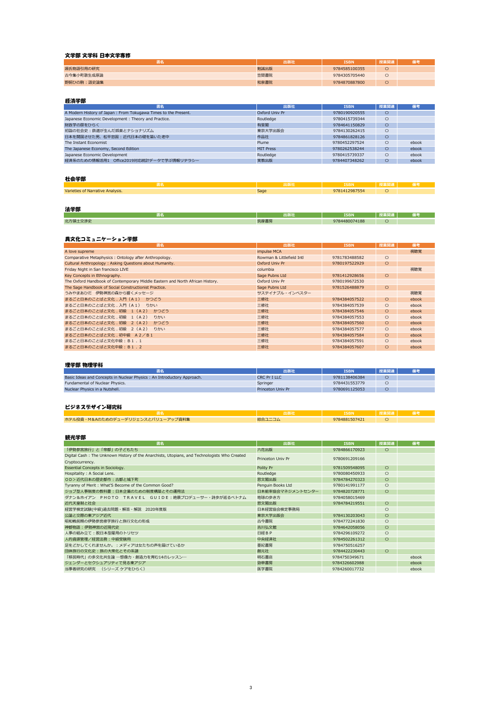# 文学部 文学科 日本文学専修

|            | 出版社  | <b>ISBN</b>   | 授業関連 |  |
|------------|------|---------------|------|--|
| 源氏物語引用の研究  | 勉誠出版 | 9784585100355 |      |  |
| 古今集小町歌生成原論 | 笠間書院 | 9784305705440 |      |  |
| 野飼ひの駒:語史論集 | 和泉書院 | 9784870887800 |      |  |

| 書名                                                             | 出版社              | <b>ISBN</b>   | 授業関連 | 備考    |
|----------------------------------------------------------------|------------------|---------------|------|-------|
| A Modern History of Japan: From Tokugawa Times to the Present. | Oxford Univ Pr   | 9780190920555 | С    |       |
| Japanese Economic Development: Theory and Practice.            | Routledge        | 9780415739344 | О    |       |
| 財政学の扉をひらく                                                      | 有斐閣              | 9784641150829 | O    |       |
| 初詣の社会史:鉄道が生んだ娯楽とナショナリズム                                        | 東京大学出版会          | 9784130262415 | О    |       |
| 日本を開国させた男、松平忠固:近代日本の礎を築いた老中                                    | 作品社              | 9784861828126 | О    |       |
| The Instant Economist                                          | Plume            | 9780452297524 | О    | ebook |
| The Japanese Economy, Second Edition                           | <b>MIT Press</b> | 9780262538244 |      | ebook |
| Japanese Economic Development                                  | Routledge        | 9780415739337 | О    | ebook |
| 経済系のための情報活用1 Office2019対応統計データで学ぶ情報リテラシー                       | 実教出版             | 9784407348262 |      | ebook |

|                                  | யம   | 5dri          | . J. 27 |  |
|----------------------------------|------|---------------|---------|--|
| Varieties of Narrative Analysis. | Sage | 9781412987554 |         |  |

|                      | .<br>11 T L<br>2. M.H | <b>ISBN</b>        | . |  |
|----------------------|-----------------------|--------------------|---|--|
| 北方領<br>一个半中。<br>へんから | <b>笠麻聿目</b><br>小手音方   | 4480074188<br>n70. |   |  |

| ____<br>書名                                                                    | 出版社                       | <b>ISBN</b>   | 授業関連    | 備考    |
|-------------------------------------------------------------------------------|---------------------------|---------------|---------|-------|
| A love supreme                                                                | impulse MCA               |               |         | 視聴覚   |
| Comparative Metaphysics: Ontology after Anthropology.                         | Rowman & Littlefield Intl | 9781783488582 | $\circ$ |       |
| Cultural Anthropology: Asking Questions about Humanity.                       | Oxford Univ Pr            | 9780197522929 | $\circ$ |       |
| Friday Night in San francisco LIVE                                            | columbia                  |               |         | 視聴覚   |
| Key Concepts in Ethnography.                                                  | Sage Pubns Ltd            | 9781412928656 | $\circ$ |       |
| The Oxford Handbook of Contemporary Middle Eastern and North African History. | Oxford Univ Pr            | 9780199672530 |         |       |
| The Sage Handbook of Social Constructionist Practice.                         | Sage Pubns Ltd            | 9781526488879 | $\circ$ |       |
| うみやまあひだ 伊勢神宮の森から響くメッセージ                                                       | サステイナブル・インベスター            |               |         | 視聴覚   |
| まるごと日本のことばと文化.入門 (A1)<br>かつどう                                                 | 三修社                       | 9784384057522 | O       | ebook |
| まるごと日本のことばと文化.入門 (A1)<br>りかい                                                  | 三修社                       | 9784384057539 | $\circ$ | ebook |
| まるごと日本のことばと文化.初級 1 (A2)<br>かつどう                                               | 三修社                       | 9784384057546 | O       | ebook |
| まるごと日本のことばと文化.初級 1 (A2)<br>りかい                                                | 三修社                       | 9784384057553 | $\circ$ | ebook |
| まるごと日本のことばと文化,初級 2 (A2)<br>かつどう                                               | 三修社                       | 9784384057560 | $\circ$ | ebook |
| まるごと日本のことばと文化.初級 2 (A2)<br>りかい                                                | 三修社                       | 9784384057577 | $\circ$ | ebook |
| まるごと日本のことばと文化.初中級 A2/B1                                                       | 三修社                       | 9784384057584 | $\circ$ | ebook |
| まるごと日本のことばと文化中級: B 1.1                                                        | 三修社                       | 9784384057591 | $\circ$ | ebook |
| まるごと日本のことばと文化中級:B1.2                                                          | 三修社                       | 9784384057607 | $\circ$ | ebook |

|                                                                        | 出版社                      | <b>ISBN</b>   | 授業関連 |  |
|------------------------------------------------------------------------|--------------------------|---------------|------|--|
| Basic Ideas and Concepts in Nuclear Physics: An Introductory Approach. | <b>CRC Pr I LLC</b>      | 9781138406384 |      |  |
| Fundamental of Nuclear Physics.                                        | Springer                 | 9784431553779 |      |  |
| Nuclear Physics in a Nutshell.                                         | <b>Princeton Univ Pr</b> | 9780691125053 |      |  |
|                                                                        |                          |               |      |  |

|                                   |        | <b>SBN</b>    |  |
|-----------------------------------|--------|---------------|--|
| ホテル投資・M&Aのためのデューデリジェンスとバリューアップ資料集 | 綜合ユニコム | 9784881507421 |  |

| 書名                                                                                           | 出版社               | <b>ISBN</b>   | 授業関連    | 備考    |
|----------------------------------------------------------------------------------------------|-------------------|---------------|---------|-------|
| 「伊勢参宮旅行」と「帝都」の子どもたち                                                                          | 六花出版              | 9784866170923 | $\circ$ |       |
| Digital Cash: The Unknown History of the Anarchists, Utopians, and Technologists Who Created | Princeton Univ Pr | 9780691209166 |         |       |
| Cryptocurrency.                                                                              |                   |               |         |       |
| Essential Concepts in Sociology.                                                             | Polity Pr         | 9781509548095 | $\circ$ |       |
| Hospitality: A Social Lens.                                                                  | Routledge         | 9780080450933 | $\circ$ |       |
| OD>近代日本の歴史都市:古都と城下町                                                                          | 思文閣出版             | 9784784270323 | O       |       |
| Tyranny of Merit: What'S Become of the Common Good?                                          | Penguin Books Ltd | 9780141991177 | $\circ$ |       |
| ジョブ型人事制度の教科書 : 日本企業のための制度構築とその運用法                                                            | 日本能率協会マネジメントセンター  | 9784820728771 | $\circ$ |       |
| ダナン&ホイアン PHOTO TRAVEL GUIDE:絶景プロデューサー・詩歩が巡るベトナム                                              | 地球の歩き方            | 9784058015469 |         |       |
| 近代天皇制と社会                                                                                     | 思文閣出版             | 9784784219551 | $\circ$ |       |
| 経営学検定試験(中級)過去問題・解答・解説 2020年度版                                                                | 日本経営協会検定事務局       |               | $\circ$ |       |
| 公論と交際の東アジア近代                                                                                 | 東京大学出版会           | 9784130203043 | $\circ$ |       |
| 昭和戦前期の伊勢参宮修学旅行と旅行文化の形成                                                                       | 古今書院              | 9784772241830 | $\circ$ |       |
| 神都物語:伊勢神宮の近現代史                                                                               | 吉川弘文館             | 9784642058056 | $\circ$ |       |
| 人事の組み立て:脱日本型雇用のトリセツ                                                                          | 日経BP              | 9784296109272 | $\circ$ |       |
| 人的資源管理/経営法務:中級受験用                                                                            | 中央経済社             | 9784502261312 | O       |       |
| 足をどかしてくれませんか。:メディアは女たちの声を届けているか                                                              | 亜紀書房              | 9784750516257 |         |       |
| 団体旅行の文化史:旅の大衆化とその系譜                                                                          | 創元社               | 9784422230443 | $\circ$ |       |
| 「移民時代」の多文化共生論 ―想像力・創造力を育む14のレッスン―                                                            | 明石書店              | 9784750349671 |         | ebook |
| ジェンダーとセクシュアリティで見る東アジア                                                                        | 勁草書房              | 9784326602988 |         | ebook |
| 当事者研究の研究 (シリーズ ケアをひらく)                                                                       | 医学書院              | 9784260017732 |         | ebook |

# 経済学部

#### 異文化コミュニケーション学部

# ビジネスデザイン研究科

#### 観光学部

#### 社会学部

#### 法学部

#### 理学部 物理学科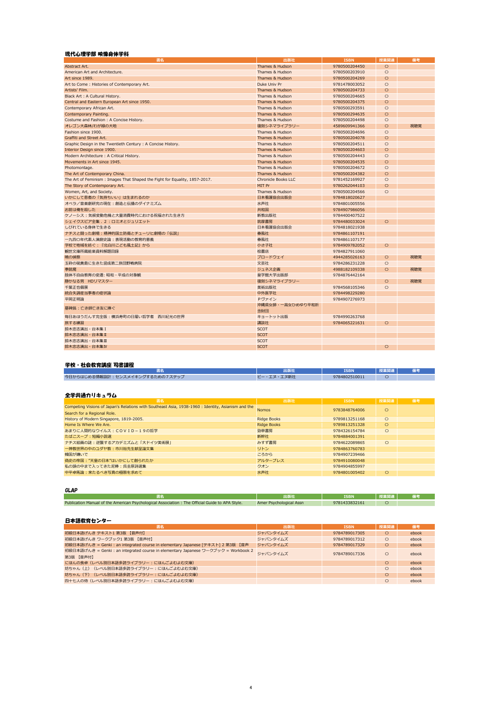| 書名                                                                         | 出版社                        | <b>ISBN</b>   | 授業関連       | 備考  |
|----------------------------------------------------------------------------|----------------------------|---------------|------------|-----|
| Abstract Art.                                                              | Thames & Hudson            | 9780500204450 | $\circ$    |     |
| American Art and Architecture.                                             | Thames & Hudson            | 9780500203910 | $\circ$    |     |
| Art since 1989.                                                            | Thames & Hudson            | 9780500204269 | $\circ$    |     |
| Art to Come: Histories of Contemporary Art.                                | Duke Univ Pr               | 9781478003052 | $\circ$    |     |
| Artists' Film.                                                             | Thames & Hudson            | 9780500204733 | $\circ$    |     |
| Black Art: A Cultural History.                                             | Thames & Hudson            | 9780500204665 | $\circ$    |     |
| Central and Eastern European Art since 1950.                               | Thames & Hudson            | 9780500204375 | $\circ$    |     |
| Contemporary African Art.                                                  | Thames & Hudson            | 9780500293591 | $\bigcirc$ |     |
| Contemporary Painting.                                                     | Thames & Hudson            | 9780500294635 | $\circ$    |     |
| Costume and Fashion: A Concise History.                                    | Thames & Hudson            | 9780500204498 | $\circ$    |     |
| オレゴン大森林/わが緑の大地                                                             | 復刻シネマライブラリー                | 4589609941366 | $\circ$    | 視聴覚 |
| Fashion since 1900.                                                        | Thames & Hudson            | 9780500204696 | $\circ$    |     |
| Graffiti and Street Art.                                                   | Thames & Hudson            | 9780500204078 | $\circ$    |     |
| Graphic Design in the Twentieth Century: A Concise History.                | Thames & Hudson            | 9780500204511 | $\circ$    |     |
| Interior Design since 1900.                                                | Thames & Hudson            | 9780500204603 | $\circ$    |     |
| Modern Architecture : A Critical History.                                  | Thames & Hudson            | 9780500204443 | $\circ$    |     |
| Movements in Art since 1945.                                               | Thames & Hudson            | 9780500204535 | $\circ$    |     |
| Photomontage.                                                              | Thames & Hudson            | 9780500204672 | $\circ$    |     |
| The Art of Contemporary China.                                             | Thames & Hudson            | 9780500204382 | $\circ$    |     |
| The Art of Feminism: Images That Shaped the Fight for Equality, 1857-2017. | <b>Chronicle Books LLC</b> | 9781452169927 | $\circ$    |     |
| The Story of Contemporary Art.                                             | MIT Pr                     | 9780262044103 | $\circ$    |     |
| Women, Art, and Society.                                                   | Thames & Hudson            | 9780500204566 | $\circ$    |     |
| いかにして患者の「気持ちいい」は生まれるのか                                                     | 日本看護協会出版会                  | 9784818020627 |            |     |
| オペラ/音楽劇研究の現在:創造と伝播のダイナミズム                                                  | 水声社                        | 9784801005556 |            |     |
| お前は俺を殺した                                                                   | 共和国                        | 9784907986056 |            |     |
| ケノーシス:気候変動危機と大量消費時代における祝福された生き方                                            | 新教出版社                      | 9784400407522 |            |     |
| シェイクスピア全集. 2: ロミオとジュリエット                                                   | 筑摩書房                       | 9784480033024 | $\circ$    |     |
| しびれている身体で生きる                                                               | 日本看護協会出版会                  | 9784818021938 |            |     |
| ナチスと闘った劇場:精神的国土防衛とチューリヒ劇場の「伝説」                                             | 春風社                        | 9784861107191 |            |     |
| 一九四〇年代素人演劇史論:表現活動の教育的意義                                                    | 春風社                        | 9784861107177 |            |     |
| 学校で地域を紡ぐ:『北白川こども風土記』から                                                     | 小さ子社                       | 9784909782052 | $\circ$    |     |
| 観世文庫所蔵能楽資料解題目録                                                             | 桧書店                        | 9784827911060 |            |     |
| 暁の偵察                                                                       | ブロードウェイ                    | 4944285026163 | $\circ$    | 視聴覚 |
| 玉砕の硫黄島に生きた混成第二旅団野戦病院                                                       | 文芸社                        | 9784286231228 | $\circ$    |     |
| 拳銃魔                                                                        | ジュネス企画                     | 4988182109338 | $\circ$    | 視聴覚 |
| 肢体不自由教育の変遷: 昭和・平成の対象観                                                      | 皇学館大学出版部                   | 9784876442164 |            |     |
| 静かなる男 HDリマスター                                                              | 復刻シネマライブラリー                |               | $\circ$    | 視聴覚 |
| 千葉正也個展                                                                     | 美術出版社                      | 9784568105346 | $\circ$    |     |
| 統合失調症当事者の症状論                                                               | 中外医学社                      | 9784498229280 |            |     |
| 平岡正明論                                                                      | Pヴァイン                      | 9784907276973 |            |     |
|                                                                            | 沖縄県女師・一高女ひめゆり平和祈           |               |            |     |
| 墓碑銘:亡き師亡き友に捧ぐ                                                              | 念財団                        |               |            |     |
| 毎日あほうだんす完全版:横浜寿町の日雇い哲学者 西川紀光の世界                                            | キョートット出版                   | 9784990263768 |            |     |
| 旅する練習                                                                      | 講談社                        | 9784065221631 | $\circ$    |     |
| 鈴木忠志演出・台本集 I                                                               | <b>SCOT</b>                |               |            |     |
| 鈴木忠志演出·台本集 II                                                              | <b>SCOT</b>                |               |            |     |
| 鈴木忠志演出・台本集Ⅲ                                                                | <b>SCOT</b>                |               |            |     |
| 鈴木忠志演出·台本集IV                                                               | <b>SCOT</b>                |               | $\circ$    |     |

|                                 | ш<br>可放仓     | <b>ISBN</b>   |  |
|---------------------------------|--------------|---------------|--|
| 今日からはじめる情報設計:センスメイキングするための7ステップ | $-70$<br>乄新召 | 9784802510011 |  |

| 書名                                                                                                 | 出版社                | <b>ISBN</b>   | 授業関連    | 備考 |
|----------------------------------------------------------------------------------------------------|--------------------|---------------|---------|----|
| Competing Visions of Japan's Relations with Southeast Asia, 1938-1960 : Identity, Asianism and the | <b>Nomos</b>       | 9783848764006 | $\circ$ |    |
| Search for a Regional Role.                                                                        |                    |               |         |    |
| History of Modern Singapore, 1819-2005.                                                            | <b>Ridge Books</b> | 9789813251168 | $\circ$ |    |
| Home Is Where We Are.                                                                              | <b>Ridge Books</b> | 9789813251328 | $\circ$ |    |
| あまりに人間的なウイルス: COVID-19の哲学                                                                          | 勁草書房               | 9784326154784 | $\circ$ |    |
| たばこスープ : 短編小説選                                                                                     | 新幹社                | 9784884001391 |         |    |
| ナチス絵画の謎:逆襲するアカデミズムと「大ドイツ美術展」                                                                       | みすず書房              | 9784622089865 | $\circ$ |    |
| 一神教世界の中のユダヤ教:市川裕先生献呈論文集                                                                            | リトン                | 9784863760783 |         |    |
| 韓国が嫌いで                                                                                             | ころから               | 9784907239466 |         |    |
| 偽史の帝国: "天皇の日本"はいかにして創られたか                                                                          | アルタープレス            | 9784910080048 |         |    |
| 私の頭の中まで入ってきた泥棒:呉圭原詩選集                                                                              | クオン                | 9784904855997 |         |    |
| 中平卓馬論:来たるべき写真の極限を求めて                                                                               | 水声社                | 9784801005402 | $\circ$ |    |

| Publication Manual of the American Psychological Association : The Official Guide to APA Style. | Amer Psychological Assn | 9781433832161 |  |
|-------------------------------------------------------------------------------------------------|-------------------------|---------------|--|

| 書名                                                                                 | 出版社      | <b>ISBN</b>   | 授業関連       | 備考    |
|------------------------------------------------------------------------------------|----------|---------------|------------|-------|
| 初級日本語げんき テキスト1 第3版 【音声付】                                                           | ジャパンタイムズ | 9784789017305 | $\circ$    | ebook |
| 初級日本語げんき ワークブック1 第3版 【音声付】                                                         | ジャパンタイムズ | 9784789017312 | $\circ$    | ebook |
| 初級日本語げんき = Genki : an integrated course in elementary Japanese [テキスト] 2 第3版 【音声    | ジャパンタイムズ | 9784789017329 | O          | ebook |
| 初級日本語げんき = Genki : an integrated course in elementary Japanese ワークブック = Workbook 2 | ジャパンタイムズ | 9784789017336 | $\bigcirc$ | ebook |
| 第3版 【音声付】                                                                          |          |               |            |       |
| にほんの食卓(レベル別日本語多読ライブラリー:にほんごよむよむ文庫)                                                 |          |               |            | ebook |
| 坊ちゃん (上) (レベル別日本語多読ライブラリー:にほんごよむよむ文庫)                                              |          |               | $\bigcirc$ | ebook |
| 坊ちゃん (下) (レベル別日本語多読ライブラリー:にほんごよむよむ文庫)                                              |          |               |            | ebook |
| 四十七人の侍(レベル別日本語多読ライブラリー:にほんごよむよむ文庫)                                                 |          |               |            | ebook |

# 日本語教育センター

#### GLAP

### 全学共通カリキュラム

# 現代心理学部 映像身体学科

# 学校・社会教育講座 司書課程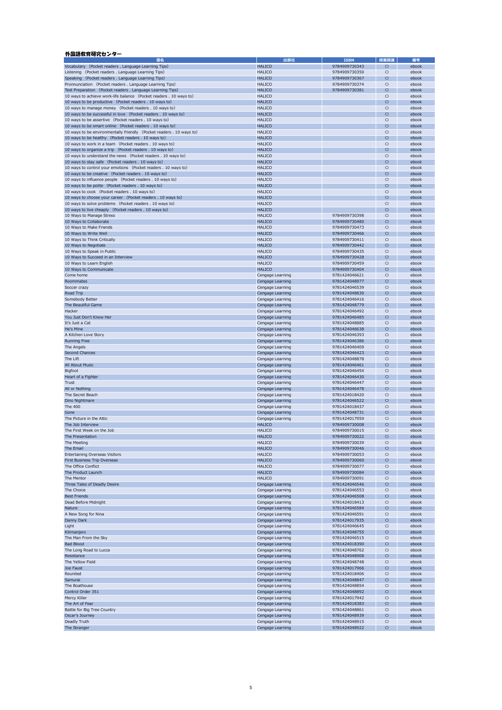| 書名                                                                   | 出版社              | <b>ISBN</b>   | 授業関連       | 備考    |
|----------------------------------------------------------------------|------------------|---------------|------------|-------|
| Vocabulary (Pocket readers . Language Learning Tips)                 | <b>HALICO</b>    | 9784909730343 | $\circ$    | ebook |
| Listening (Pocket readers . Language Learning Tips)                  | <b>HALICO</b>    | 9784909730350 | $\circ$    | ebook |
| Speaking (Pocket readers . Language Learning Tips)                   | <b>HALICO</b>    | 9784909730367 | $\circ$    | ebook |
| Pronnunciation (Pocket readers . Language Learning Tips)             | <b>HALICO</b>    | 9784909730374 | $\circ$    | ebook |
| Test Preparation (Pocket readers . Language Learning Tips)           | <b>HALICO</b>    | 9784909730381 | $\circ$    | ebook |
| 10 ways to achieve work-life balance (Pocket readers . 10 ways to)   | <b>HALICO</b>    |               |            | ebook |
|                                                                      |                  |               | $\circ$    |       |
| 10 ways to be productive (Pocket readers . 10 ways to)               | <b>HALICO</b>    |               | $\circ$    | ebook |
| 10 ways to manage money (Pocket readers . 10 ways to)                | <b>HALICO</b>    |               | $\circ$    | ebook |
| 10 ways to be successful in love (Pocket readers . 10 ways to)       | <b>HALICO</b>    |               | $\circ$    | ebook |
| 10 ways to be assertive (Pocket readers . 10 ways to)                | <b>HALICO</b>    |               | $\circ$    | ebook |
| 10 ways to be smart online (Pocket readers . 10 ways to)             | <b>HALICO</b>    |               | $\circ$    | ebook |
| 10 ways to be environmentally friendly (Pocket readers . 10 ways to) | <b>HALICO</b>    |               | $\circ$    | ebook |
| 10 ways to be healthy (Pocket readers . 10 ways to)                  | <b>HALICO</b>    |               | $\circ$    | ebook |
| 10 ways to work in a team (Pocket readers . 10 ways to)              | <b>HALICO</b>    |               | $\circ$    | ebook |
| 10 ways to organize a trip (Pocket readers . 10 ways to)             | <b>HALICO</b>    |               | $\circ$    | ebook |
| 10 ways to understand the news (Pocket readers . 10 ways to)         | <b>HALICO</b>    |               | $\circ$    | ebook |
| 10 ways to stay safe (Pocket readers . 10 ways to)                   | <b>HALICO</b>    |               | $\circ$    | ebook |
| 10 ways to control your emotions (Pocket readers . 10 ways to)       | <b>HALICO</b>    |               | $\circ$    | ebook |
| 10 ways to be creative (Pocket readers . 10 ways to)                 | <b>HALICO</b>    |               | $\circ$    | ebook |
| 10 ways to influence people (Pocket readers . 10 ways to)            | <b>HALICO</b>    |               | $\circ$    | ebook |
|                                                                      | <b>HALICO</b>    |               |            |       |
| 10 ways to be polite (Pocket readers . 10 ways to)                   |                  |               | $\circ$    | ebook |
| 10 ways to cook (Pocket readers . 10 ways to)                        | <b>HALICO</b>    |               | $\circ$    | ebook |
| 10 ways to choose your career (Pocket readers . 10 ways to)          | <b>HALICO</b>    |               | $\circ$    | ebook |
| 10 ways to solve problems (Pocket readers . 10 ways to)              | <b>HALICO</b>    |               | $\circ$    | ebook |
| 10 ways to live cheaply (Pocket readers . 10 ways to)                | <b>HALICO</b>    |               | $\circ$    | ebook |
| 10 Ways to Manage Stress                                             | <b>HALICO</b>    | 9784909730398 | $\circ$    | ebook |
| 10 Ways to Collaborate                                               | <b>HALICO</b>    | 9784909730480 | $\circ$    | ebook |
| 10 Ways to Make Friends                                              | <b>HALICO</b>    | 9784909730473 | $\circ$    | ebook |
| 10 Ways to Write Well                                                | <b>HALICO</b>    | 9784909730466 | $\circ$    | ebook |
| 10 Ways to Think Critically                                          | <b>HALICO</b>    | 9784909730411 | $\circ$    | ebook |
| 10 Ways to Negotiate                                                 | <b>HALICO</b>    | 9784909730442 | $\circ$    | ebook |
| 10 Ways to Speak in Public                                           | <b>HALICO</b>    | 9784909730435 | $\circ$    | ebook |
| 10 Ways to Succeed in an Interview                                   | <b>HALICO</b>    | 9784909730428 | $\circ$    | ebook |
|                                                                      | <b>HALICO</b>    | 9784909730459 |            |       |
| 10 Ways to Learn English                                             |                  |               | $\circ$    | ebook |
| 10 Ways to Communicate                                               | <b>HALICO</b>    | 9784909730404 | $\circ$    | ebook |
| Come home                                                            | Cengage Learning | 9781424046621 | $\circ$    | ebook |
| Roommates                                                            | Cengage Learning | 9781424048977 | $\circ$    | ebook |
| Soccer crazy                                                         | Cengage Learning | 9781424046539 | $\circ$    | ebook |
| Road Trip                                                            | Cengage Learning | 9781424048830 | $\circ$    | ebook |
| Somebody Better                                                      | Cengage Learning | 9781424046416 | $\circ$    | ebook |
| The Beautiful Game                                                   | Cengage Learning | 9781424048779 | $\circ$    | ebook |
| Hacker                                                               | Cengage Learning | 9781424046492 | $\circ$    | ebook |
| You Just Don't Know Her                                              | Cengage Learning | 9781424046485 | $\circ$    | ebook |
| It's Just a Cat                                                      | Cengage Learning | 9781424048885 | $\bigcirc$ | ebook |
| He's Mine                                                            | Cengage Learning | 9781424046638 | $\circ$    | ebook |
| A Kitchen Love Story                                                 | Cengage Learning | 9781424046393 | $\circ$    | ebook |
| <b>Running Free</b>                                                  | Cengage Learning | 9781424046386 | $\circ$    | ebook |
| The Angels                                                           | Cengage Learning | 9781424046409 | $\circ$    | ebook |
| Second Chances                                                       | Cengage Learning | 9781424046423 | $\circ$    | ebook |
| The Lift                                                             |                  |               |            |       |
|                                                                      | Cengage Learning | 9781424048878 | $\bigcirc$ | ebook |
| All About Music                                                      | Cengage Learning | 9781424046461 | $\circ$    | ebook |
| <b>Bigfoot</b>                                                       | Cengage Learning | 9781424046454 | $\circ$    | ebook |
| Heart of a Fighter                                                   | Cengage Learning | 9781424046430 | $\bigcirc$ | ebook |
| Trust                                                                | Cengage Learning | 9781424046447 | $\circ$    | ebook |
| All or Nothing                                                       | Cengage Learning | 9781424046478 | $\circ$    | ebook |
| The Secret Beach                                                     | Cengage Learning | 9781424018420 | $\circ$    | ebook |
| Dino Nightmare                                                       | Cengage Learning | 9781424046522 | $\circ$    | ebook |
| The 400                                                              | Cengage Learning | 9781424018437 | $\circ$    | ebook |
| Gone                                                                 | Cengage Learning | 9781424048731 | $\circ$    | ebook |
| The Picture in the Attic                                             | Cengage Learning | 9781424017959 | $\bigcirc$ | ebook |
| The Job Interview                                                    | <b>HALICO</b>    | 9784909730008 | $\circ$    | ebook |
| The First Week on the Job                                            | <b>HALICO</b>    | 9784909730015 | $\circ$    | ebook |
| The Presentation                                                     | <b>HALICO</b>    | 9784909730022 | $\circ$    | ebook |
| The Meeting                                                          | <b>HALICO</b>    | 9784909730039 | $\circ$    | ebook |
|                                                                      | <b>HALICO</b>    |               |            |       |
| The Email                                                            |                  | 9784909730046 | $\circ$    | ebook |
| Entertaining Overseas Visitors                                       | <b>HALICO</b>    | 9784909730053 | $\circ$    | ebook |
| First Business Trip Overseas                                         | <b>HALICO</b>    | 9784909730060 | $\circ$    | ebook |
| The Office Conflict                                                  | <b>HALICO</b>    | 9784909730077 | $\circ$    | ebook |
| The Product Launch                                                   | <b>HALICO</b>    | 9784909730084 | $\circ$    | ebook |
| The Mentor                                                           | <b>HALICO</b>    | 9784909730091 | $\circ$    | ebook |
| Three Tales of Deadly Desire                                         | Cengage Learning | 9781424046546 | $\circ$    | ebook |
| The Choice                                                           | Cengage Learning | 9781424046553 | $\circ$    | ebook |
| <b>Best Friends</b>                                                  | Cengage Learning | 9781424046508 | $\circ$    | ebook |
| Dead Before Midnight                                                 | Cengage Learning | 9781424018413 | $\circ$    | ebook |
| <b>Nature</b>                                                        | Cengage Learning | 9781424046584 | $\bigcirc$ | ebook |
| A New Song for Nina                                                  | Cengage Learning | 9781424046591 | $\circ$    | ebook |
| Danny Dark                                                           | Cengage Learning | 9781424017935 | $\circ$    | ebook |
| Light                                                                | Cengage Learning | 9781424046645 | $\circ$    | ebook |
| Kilimanjaro                                                          | Cengage Learning | 9781424048755 | $\circ$    | ebook |
| The Man From the Sky                                                 | Cengage Learning | 9781424046515 | $\circ$    | ebook |
| <b>Bad Blood</b>                                                     | Cengage Learning | 9781424018390 | $\circ$    | ebook |
| The Long Road to Lucca                                               | Cengage Learning | 9781424048762 | $\bigcirc$ | ebook |
|                                                                      |                  |               |            |       |
| Resistance                                                           | Cengage Learning | 9781424048908 | $\bigcirc$ | ebook |
| The Yellow Field                                                     | Cengage Learning | 9781424048748 | $\circ$    | ebook |
| Joe Faust                                                            | Cengage Learning | 9781424017966 | $\circ$    | ebook |
| Reunited                                                             | Cengage Learning | 9781424018406 | $\circ$    | ebook |
| Samurai                                                              | Cengage Learning | 9781424048847 | $\circ$    | ebook |
| The Boathouse                                                        | Cengage Learning | 9781424048854 | $\circ$    | ebook |
| Control Order 351                                                    | Cengage Learning | 9781424048892 | $\circ$    | ebook |
| Mercy Killer                                                         | Cengage Learning | 9781424017942 | $\circ$    | ebook |
| The Art of Fear                                                      | Cengage Learning | 9781424018383 | $\circ$    | ebook |
| Battle for Big Tree Country                                          | Cengage Learning | 9781424048861 | $\circ$    | ebook |
| Oscar's Journey                                                      | Cengage Learning | 9781424048939 | $\bigcirc$ | ebook |
| Deadly Truth                                                         | Cengage Learning | 9781424048915 | $\circ$    | ebook |
| The Stranger                                                         | Cengage Learning | 9781424048922 | $\circ$    | ebook |

# 外国語教育研究センター